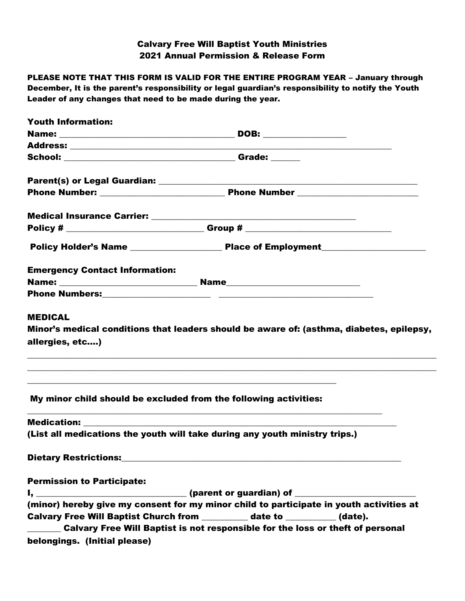# Calvary Free Will Baptist Youth Ministries 2021 Annual Permission & Release Form

PLEASE NOTE THAT THIS FORM IS VALID FOR THE ENTIRE PROGRAM YEAR – January through December, It is the parent's responsibility or legal guardian's responsibility to notify the Youth Leader of any changes that need to be made during the year.

| <b>Youth Information:</b>             |                                                                                                                                                       |  |
|---------------------------------------|-------------------------------------------------------------------------------------------------------------------------------------------------------|--|
|                                       |                                                                                                                                                       |  |
|                                       |                                                                                                                                                       |  |
|                                       |                                                                                                                                                       |  |
|                                       |                                                                                                                                                       |  |
|                                       |                                                                                                                                                       |  |
|                                       |                                                                                                                                                       |  |
|                                       |                                                                                                                                                       |  |
|                                       |                                                                                                                                                       |  |
| <b>Emergency Contact Information:</b> |                                                                                                                                                       |  |
|                                       |                                                                                                                                                       |  |
|                                       |                                                                                                                                                       |  |
| <b>MEDICAL</b>                        |                                                                                                                                                       |  |
|                                       | Minor's medical conditions that leaders should be aware of: (asthma, diabetes, epilepsy,                                                              |  |
| allergies, etc)                       |                                                                                                                                                       |  |
|                                       |                                                                                                                                                       |  |
|                                       | ,我们也不能在这里的时候,我们也不能在这里的时候,我们也不能会在这里的时候,我们也不能会在这里的时候,我们也不能会在这里的时候,我们也不能会在这里的时候,我们也不<br>My minor child should be excluded from the following activities: |  |
|                                       |                                                                                                                                                       |  |
|                                       | (List all medications the youth will take during any youth ministry trips.)                                                                           |  |
|                                       | Dietary Restrictions: 2008 2010 2020 2021 2021 2022 2023 2024 2022 2023 2024 2024 2022 2023 2024 2022 2023 20                                         |  |
| <b>Permission to Participate:</b>     |                                                                                                                                                       |  |
|                                       | I, ________________________________(parent or guardian) of _____________________                                                                      |  |
|                                       | (minor) hereby give my consent for my minor child to participate in youth activities at                                                               |  |
|                                       | Calvary Free Will Baptist Church from ________ date to ________ (date).                                                                               |  |
|                                       | Calvary Free Will Baptist is not responsible for the loss or theft of personal                                                                        |  |
| belongings. (Initial please)          |                                                                                                                                                       |  |